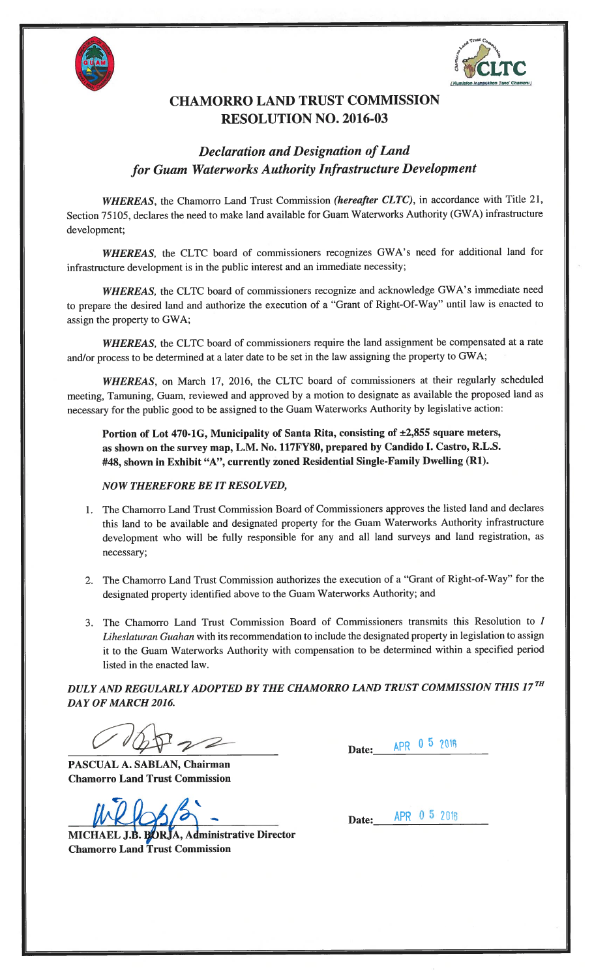



## CHAMORRO LAND TRUST COMMISSION RESOLUTION NO. 2016-03

## Declaration and Designation of Land for Guam Waterworks Authority Infrastructure Development

WHEREAS, the Chamorro Land Trust Commission (hereafter CLTC), in accordance with Title 21, Section 75105, declares the need to make land available for Guam Waterworks Authority (GWA) infrastructure development;

WHEREAS, the CLTC board of commissioners recognizes GWA's need for additional land for infrastructure development is in the public interest and an immediate necessity;

WHEREAS, the CLTC board of commissioners recognize and acknowledge GWA's immediate need to prepare the desired land and authorize the execution of a "Grant of Right-Of-Way" until law is enacted to assign the property to GWA;

WHEREAS, the CLTC board of commissioners require the land assignment be compensated at a rate and/or process to be determined at a later date to be set in the law assigning the property to GWA;

WHEREAS, on March 17, 2016, the CLTC board of commissioners at their regularly scheduled meeting, Tamuning, Guam, reviewed and approved by a motion to designate as available the proposed land as necessary for the public good to be assigned to the Guam Waterworks Authority by legislative action:

Portion of Lot 470-1G, Municipality of Santa Rita, consisting of ±2,855 square meters, as shown on the survey map, L.M. No. 117FY80, prepared by Candido I. Castro, R.L.S. #48, shown in Exhibit "A", currently zoned Residential Single-Family Dwelling (Ri).

## NOW THEREFORE BE IT RESOLVED,

- 1. The Chamorro Land Trust Commission Board of Commissioners approves the listed land and declares this land to be available and designated property for the Guam Waterworks Authority infrastructure development who will be fully responsible for any and all land surveys and land registration, as necessary;
- 2. The Chamorro Land Trust Commission authorizes the execution of a "Grant of Right-of-Way" for the designated property identified above to the Guam Waterworks Authority; and
- 3. The Chamorro Land Trust Commission Board of Commissioners transmits this Resolution to <sup>1</sup> Liheslaturan Guahan with its recommendation to include the designated property in legislation to assign it to the Guam Waterworks Authority with compensation to be determined within a specified period listed in the enacted law.

DULY AND REGULARLY ADOPTED BY THE CHAMORRO LAND TRUST COMMISSION THIS 17TH DAY OF MARCH 2016.

 $\mathbb{Q} \mathbb{F}$ 2

PASCUAL A. SABLAN, Chairman Chamorro Land Trust Commission

MICHAEL J.B. BORJA, Administrative Director Chamorro Land Trust Commission

Date: APR 0 5 2016

Date: APR 0 5 2016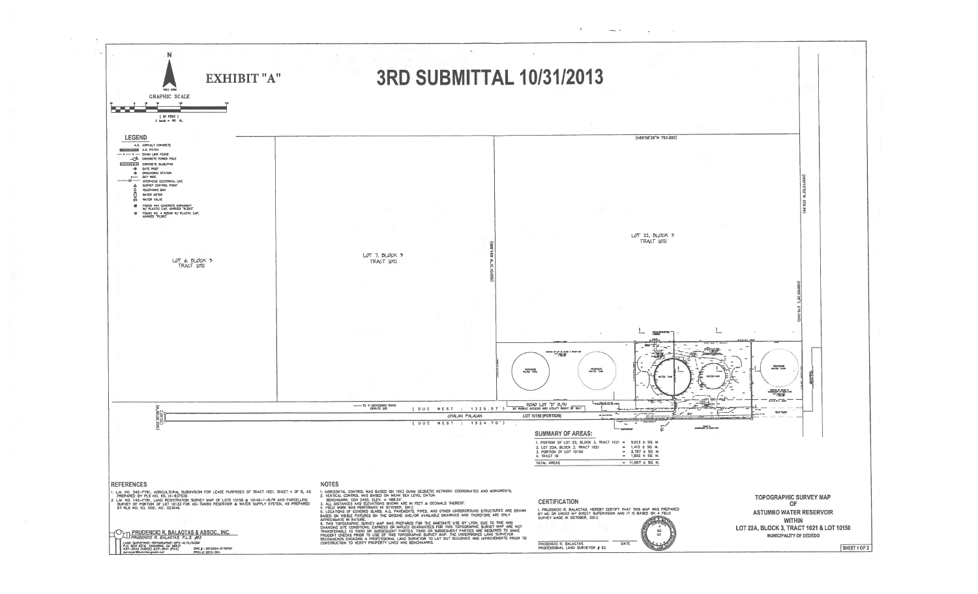